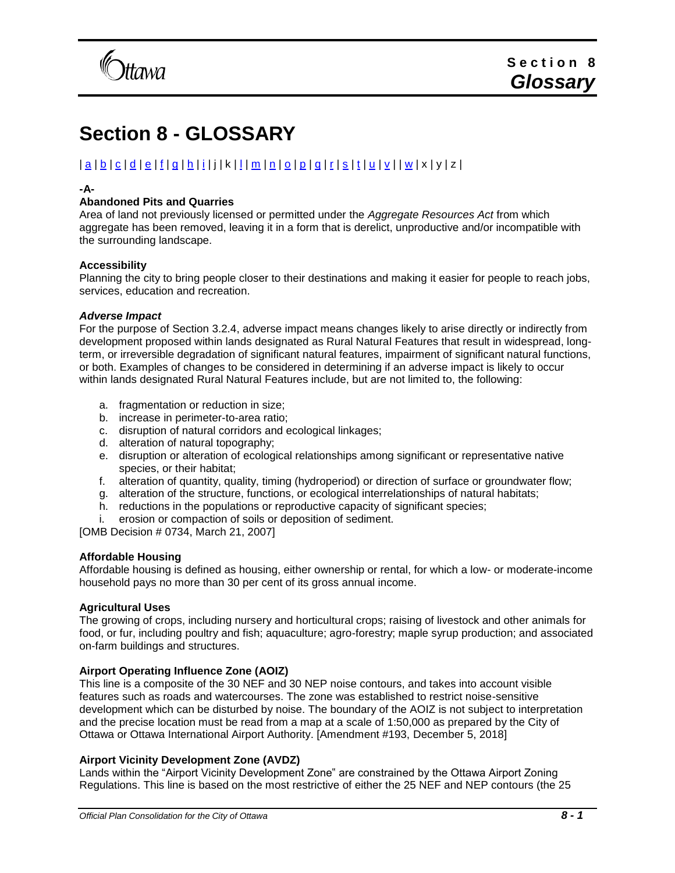

# **Section 8 - GLOSSARY**

# | [a](#page-0-0) | [b](#page-1-0) | [c](#page-2-0) | [d](#page-3-0) | [e](#page-4-0) | [f](#page-4-1) | [g](#page-5-0) | [h](#page-5-1) | [i](#page-6-0) | j | k | [l](#page-6-1) | [m](#page-7-0) | [n](#page-7-1) | [o](#page-8-0) | [p](#page-9-0) | [q](#page-10-0) | [r](#page-10-1) | [s](#page-10-2) | [t](#page-11-0) | [u](#page-12-0) [| v](#page-12-1) | | [w](#page-12-2) | x | y | z |

# <span id="page-0-0"></span>**-A-**

# **Abandoned Pits and Quarries**

Area of land not previously licensed or permitted under the *Aggregate Resources Act* from which aggregate has been removed, leaving it in a form that is derelict, unproductive and/or incompatible with the surrounding landscape.

# **Accessibility**

Planning the city to bring people closer to their destinations and making it easier for people to reach jobs, services, education and recreation.

# *Adverse Impact*

For the purpose of Section 3.2.4, adverse impact means changes likely to arise directly or indirectly from development proposed within lands designated as Rural Natural Features that result in widespread, longterm, or irreversible degradation of significant natural features, impairment of significant natural functions, or both. Examples of changes to be considered in determining if an adverse impact is likely to occur within lands designated Rural Natural Features include, but are not limited to, the following:

- a. fragmentation or reduction in size;
- b. increase in perimeter-to-area ratio;
- c. disruption of natural corridors and ecological linkages;
- d. alteration of natural topography;
- e. disruption or alteration of ecological relationships among significant or representative native species, or their habitat;
- f. alteration of quantity, quality, timing (hydroperiod) or direction of surface or groundwater flow;
- g. alteration of the structure, functions, or ecological interrelationships of natural habitats;
- h. reductions in the populations or reproductive capacity of significant species;
- i. erosion or compaction of soils or deposition of sediment.

[OMB Decision # 0734, March 21, 2007]

# **Affordable Housing**

Affordable housing is defined as housing, either ownership or rental, for which a low- or moderate-income household pays no more than 30 per cent of its gross annual income.

# **Agricultural Uses**

The growing of crops, including nursery and horticultural crops; raising of livestock and other animals for food, or fur, including poultry and fish; aquaculture; agro-forestry; maple syrup production; and associated on-farm buildings and structures.

# **Airport Operating Influence Zone (AOIZ)**

This line is a composite of the 30 NEF and 30 NEP noise contours, and takes into account visible features such as roads and watercourses. The zone was established to restrict noise-sensitive development which can be disturbed by noise. The boundary of the AOIZ is not subject to interpretation and the precise location must be read from a map at a scale of 1:50,000 as prepared by the City of Ottawa or Ottawa International Airport Authority. [Amendment #193, December 5, 2018]

# **Airport Vicinity Development Zone (AVDZ)**

Lands within the "Airport Vicinity Development Zone" are constrained by the Ottawa Airport Zoning Regulations. This line is based on the most restrictive of either the 25 NEF and NEP contours (the 25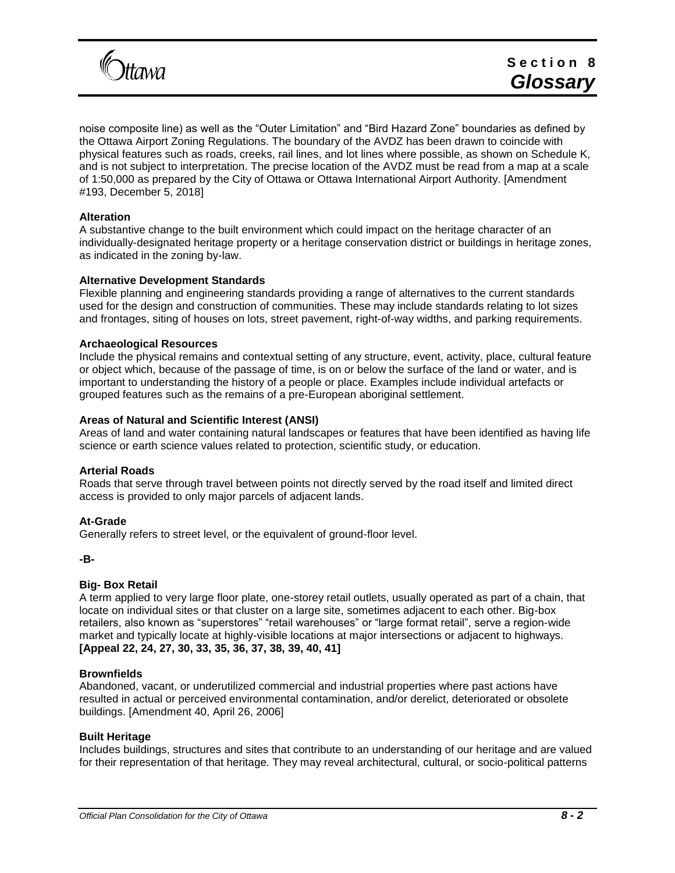

noise composite line) as well as the "Outer Limitation" and "Bird Hazard Zone" boundaries as defined by the Ottawa Airport Zoning Regulations. The boundary of the AVDZ has been drawn to coincide with physical features such as roads, creeks, rail lines, and lot lines where possible, as shown on Schedule K, and is not subject to interpretation. The precise location of the AVDZ must be read from a map at a scale of 1:50,000 as prepared by the City of Ottawa or Ottawa International Airport Authority. [Amendment #193, December 5, 2018]

# **Alteration**

A substantive change to the built environment which could impact on the heritage character of an individually-designated heritage property or a heritage conservation district or buildings in heritage zones, as indicated in the zoning by-law.

# **Alternative Development Standards**

Flexible planning and engineering standards providing a range of alternatives to the current standards used for the design and construction of communities. These may include standards relating to lot sizes and frontages, siting of houses on lots, street pavement, right-of-way widths, and parking requirements.

# **Archaeological Resources**

Include the physical remains and contextual setting of any structure, event, activity, place, cultural feature or object which, because of the passage of time, is on or below the surface of the land or water, and is important to understanding the history of a people or place. Examples include individual artefacts or grouped features such as the remains of a pre-European aboriginal settlement.

# **Areas of Natural and Scientific Interest (ANSI)**

Areas of land and water containing natural landscapes or features that have been identified as having life science or earth science values related to protection, scientific study, or education.

# **Arterial Roads**

Roads that serve through travel between points not directly served by the road itself and limited direct access is provided to only major parcels of adjacent lands.

# **At-Grade**

Generally refers to street level, or the equivalent of ground-floor level.

<span id="page-1-0"></span>**-B-**

# **Big- Box Retail**

A term applied to very large floor plate, one-storey retail outlets, usually operated as part of a chain, that locate on individual sites or that cluster on a large site, sometimes adjacent to each other. Big-box retailers, also known as "superstores" "retail warehouses" or "large format retail", serve a region-wide market and typically locate at highly-visible locations at major intersections or adjacent to highways. **[Appeal 22, 24, 27, 30, 33, 35, 36, 37, 38, 39, 40, 41]**

# **Brownfields**

Abandoned, vacant, or underutilized commercial and industrial properties where past actions have resulted in actual or perceived environmental contamination, and/or derelict, deteriorated or obsolete buildings. [Amendment 40, April 26, 2006]

# **Built Heritage**

Includes buildings, structures and sites that contribute to an understanding of our heritage and are valued for their representation of that heritage. They may reveal architectural, cultural, or socio-political patterns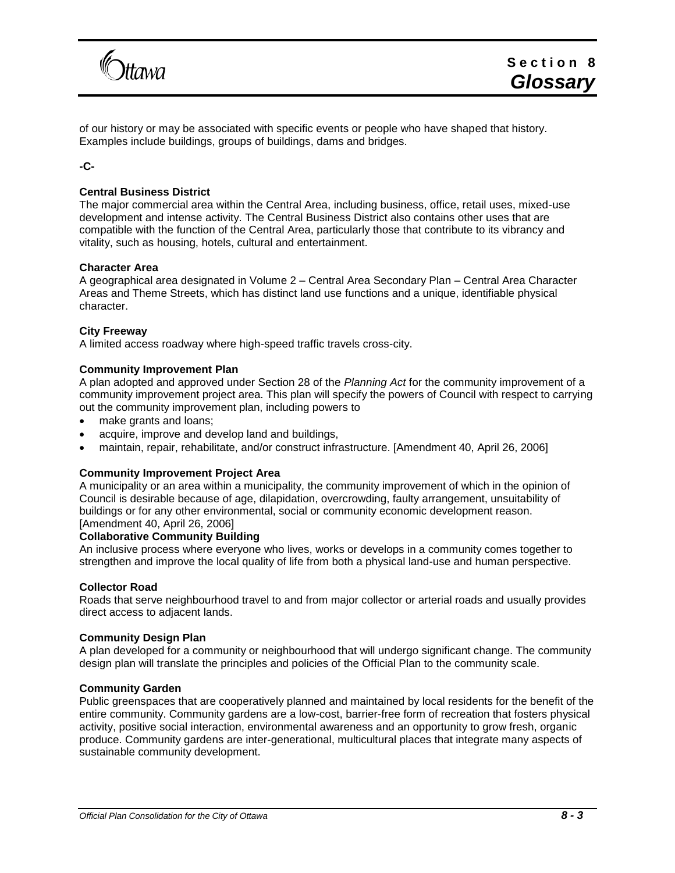

of our history or may be associated with specific events or people who have shaped that history. Examples include buildings, groups of buildings, dams and bridges.

# <span id="page-2-0"></span>**-C-**

# **Central Business District**

The major commercial area within the Central Area, including business, office, retail uses, mixed-use development and intense activity. The Central Business District also contains other uses that are compatible with the function of the Central Area, particularly those that contribute to its vibrancy and vitality, such as housing, hotels, cultural and entertainment.

# **Character Area**

A geographical area designated in Volume 2 – Central Area Secondary Plan – Central Area Character Areas and Theme Streets, which has distinct land use functions and a unique, identifiable physical character.

# **City Freeway**

A limited access roadway where high-speed traffic travels cross-city.

# **Community Improvement Plan**

A plan adopted and approved under Section 28 of the *Planning Act* for the community improvement of a community improvement project area. This plan will specify the powers of Council with respect to carrying out the community improvement plan, including powers to

- make grants and loans;
- acquire, improve and develop land and buildings,
- maintain, repair, rehabilitate, and/or construct infrastructure. [Amendment 40, April 26, 2006]

# **Community Improvement Project Area**

A municipality or an area within a municipality, the community improvement of which in the opinion of Council is desirable because of age, dilapidation, overcrowding, faulty arrangement, unsuitability of buildings or for any other environmental, social or community economic development reason. [Amendment 40, April 26, 2006]

# **Collaborative Community Building**

An inclusive process where everyone who lives, works or develops in a community comes together to strengthen and improve the local quality of life from both a physical land-use and human perspective.

# **Collector Road**

Roads that serve neighbourhood travel to and from major collector or arterial roads and usually provides direct access to adjacent lands.

# **Community Design Plan**

A plan developed for a community or neighbourhood that will undergo significant change. The community design plan will translate the principles and policies of the Official Plan to the community scale.

# **Community Garden**

Public greenspaces that are cooperatively planned and maintained by local residents for the benefit of the entire community. Community gardens are a low-cost, barrier-free form of recreation that fosters physical activity, positive social interaction, environmental awareness and an opportunity to grow fresh, organic produce. Community gardens are inter-generational, multicultural places that integrate many aspects of sustainable community development.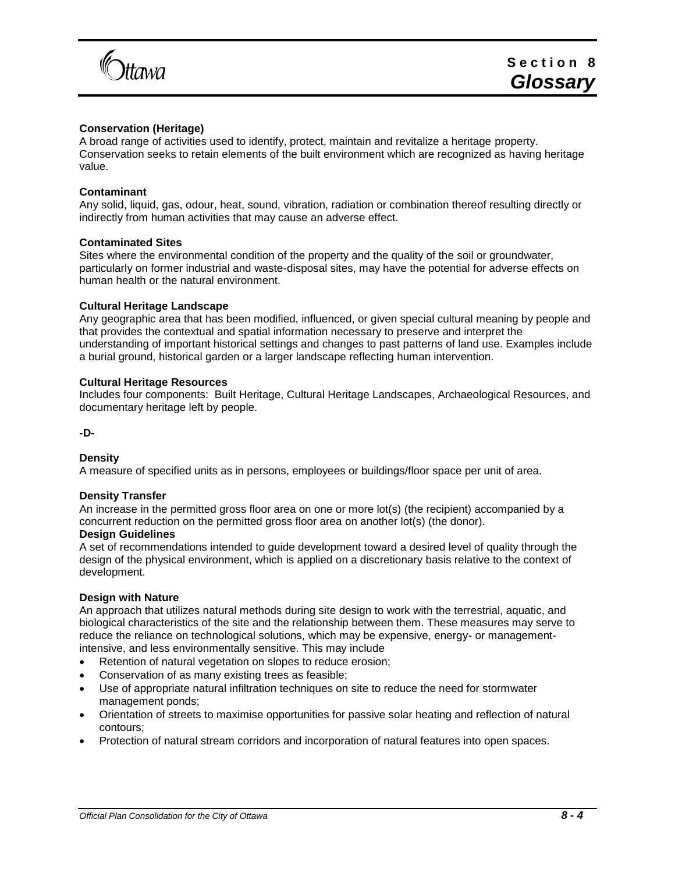

# **Conservation (Heritage)**

A broad range of activities used to identify, protect, maintain and revitalize a heritage property. Conservation seeks to retain elements of the built environment which are recognized as having heritage value.

# **Contaminant**

Any solid, liquid, gas, odour, heat, sound, vibration, radiation or combination thereof resulting directly or indirectly from human activities that may cause an adverse effect.

# **Contaminated Sites**

Sites where the environmental condition of the property and the quality of the soil or groundwater, particularly on former industrial and waste-disposal sites, may have the potential for adverse effects on human health or the natural environment.

### **Cultural Heritage Landscape**

Any geographic area that has been modified, influenced, or given special cultural meaning by people and that provides the contextual and spatial information necessary to preserve and interpret the understanding of important historical settings and changes to past patterns of land use. Examples include a burial ground, historical garden or a larger landscape reflecting human intervention.

### **Cultural Heritage Resources**

Includes four components: Built Heritage, Cultural Heritage Landscapes, Archaeological Resources, and documentary heritage left by people.

#### <span id="page-3-0"></span>**-D-**

# **Density**

A measure of specified units as in persons, employees or buildings/floor space per unit of area.

# **Density Transfer**

An increase in the permitted gross floor area on one or more lot(s) (the recipient) accompanied by a concurrent reduction on the permitted gross floor area on another lot(s) (the donor).

#### **Design Guidelines**

A set of recommendations intended to guide development toward a desired level of quality through the design of the physical environment, which is applied on a discretionary basis relative to the context of development.

# **Design with Nature**

An approach that utilizes natural methods during site design to work with the terrestrial, aquatic, and biological characteristics of the site and the relationship between them. These measures may serve to reduce the reliance on technological solutions, which may be expensive, energy- or managementintensive, and less environmentally sensitive. This may include

- Retention of natural vegetation on slopes to reduce erosion;
- Conservation of as many existing trees as feasible;
- Use of appropriate natural infiltration techniques on site to reduce the need for stormwater management ponds;
- Orientation of streets to maximise opportunities for passive solar heating and reflection of natural contours;
- Protection of natural stream corridors and incorporation of natural features into open spaces.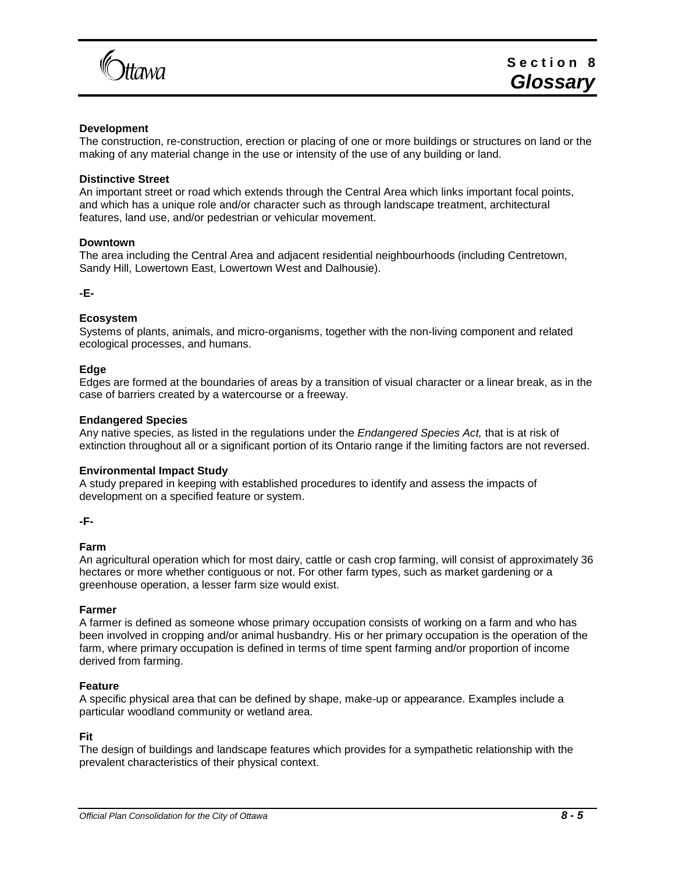

# **Development**

The construction, re-construction, erection or placing of one or more buildings or structures on land or the making of any material change in the use or intensity of the use of any building or land.

## **Distinctive Street**

An important street or road which extends through the Central Area which links important focal points, and which has a unique role and/or character such as through landscape treatment, architectural features, land use, and/or pedestrian or vehicular movement.

#### **Downtown**

The area including the Central Area and adjacent residential neighbourhoods (including Centretown, Sandy Hill, Lowertown East, Lowertown West and Dalhousie).

<span id="page-4-0"></span>**-E-**

### **Ecosystem**

Systems of plants, animals, and micro-organisms, together with the non-living component and related ecological processes, and humans.

#### **Edge**

Edges are formed at the boundaries of areas by a transition of visual character or a linear break, as in the case of barriers created by a watercourse or a freeway.

# **Endangered Species**

Any native species, as listed in the regulations under the *Endangered Species Act,* that is at risk of extinction throughout all or a significant portion of its Ontario range if the limiting factors are not reversed.

#### **Environmental Impact Study**

A study prepared in keeping with established procedures to identify and assess the impacts of development on a specified feature or system.

<span id="page-4-1"></span>**-F-**

# **Farm**

An agricultural operation which for most dairy, cattle or cash crop farming, will consist of approximately 36 hectares or more whether contiguous or not. For other farm types, such as market gardening or a greenhouse operation, a lesser farm size would exist.

#### **Farmer**

A farmer is defined as someone whose primary occupation consists of working on a farm and who has been involved in cropping and/or animal husbandry. His or her primary occupation is the operation of the farm, where primary occupation is defined in terms of time spent farming and/or proportion of income derived from farming.

#### **Feature**

A specific physical area that can be defined by shape, make-up or appearance. Examples include a particular woodland community or wetland area.

#### **Fit**

The design of buildings and landscape features which provides for a sympathetic relationship with the prevalent characteristics of their physical context.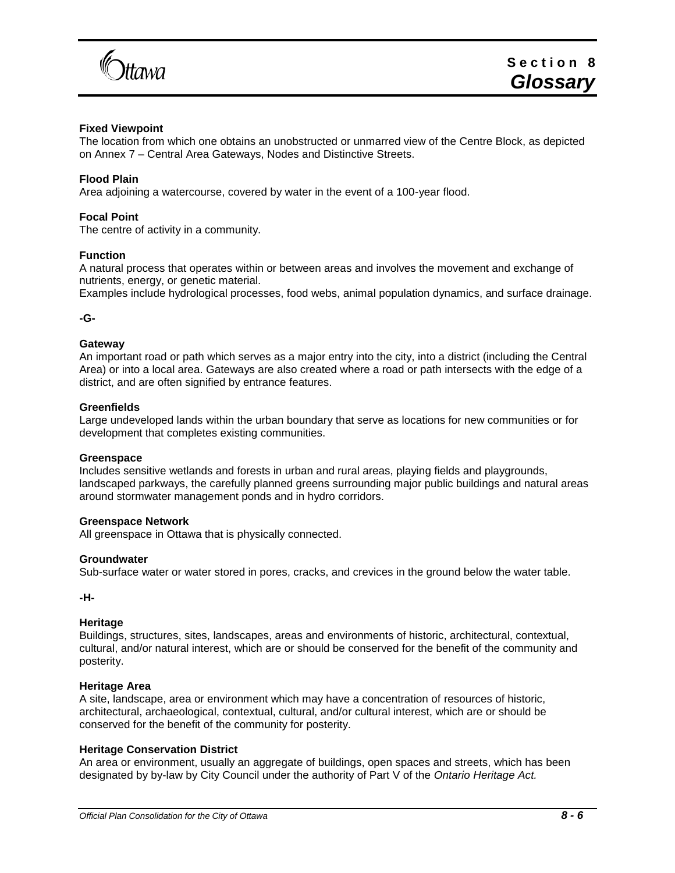

# **Fixed Viewpoint**

The location from which one obtains an unobstructed or unmarred view of the Centre Block, as depicted on Annex 7 – Central Area Gateways, Nodes and Distinctive Streets.

# **Flood Plain**

Area adjoining a watercourse, covered by water in the event of a 100-year flood.

# **Focal Point**

The centre of activity in a community.

### **Function**

A natural process that operates within or between areas and involves the movement and exchange of nutrients, energy, or genetic material.

<span id="page-5-0"></span>Examples include hydrological processes, food webs, animal population dynamics, and surface drainage.

#### **-G-**

## **Gateway**

An important road or path which serves as a major entry into the city, into a district (including the Central Area) or into a local area. Gateways are also created where a road or path intersects with the edge of a district, and are often signified by entrance features.

#### **Greenfields**

Large undeveloped lands within the urban boundary that serve as locations for new communities or for development that completes existing communities.

#### **Greenspace**

Includes sensitive wetlands and forests in urban and rural areas, playing fields and playgrounds, landscaped parkways, the carefully planned greens surrounding major public buildings and natural areas around stormwater management ponds and in hydro corridors.

#### **Greenspace Network**

All greenspace in Ottawa that is physically connected.

#### **Groundwater**

<span id="page-5-1"></span>Sub-surface water or water stored in pores, cracks, and crevices in the ground below the water table.

**-H-**

#### **Heritage**

Buildings, structures, sites, landscapes, areas and environments of historic, architectural, contextual, cultural, and/or natural interest, which are or should be conserved for the benefit of the community and posterity.

# **Heritage Area**

A site, landscape, area or environment which may have a concentration of resources of historic, architectural, archaeological, contextual, cultural, and/or cultural interest, which are or should be conserved for the benefit of the community for posterity.

# **Heritage Conservation District**

An area or environment, usually an aggregate of buildings, open spaces and streets, which has been designated by by-law by City Council under the authority of Part V of the *Ontario Heritage Act.*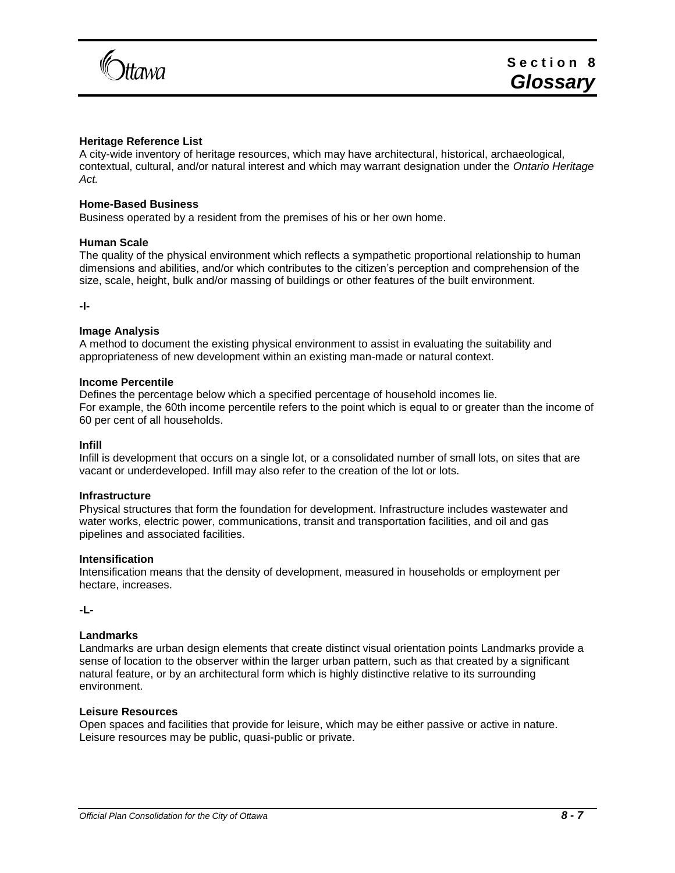

# **Heritage Reference List**

A city-wide inventory of heritage resources, which may have architectural, historical, archaeological, contextual, cultural, and/or natural interest and which may warrant designation under the *Ontario Heritage Act.*

# **Home-Based Business**

Business operated by a resident from the premises of his or her own home.

### **Human Scale**

The quality of the physical environment which reflects a sympathetic proportional relationship to human dimensions and abilities, and/or which contributes to the citizen's perception and comprehension of the size, scale, height, bulk and/or massing of buildings or other features of the built environment.

<span id="page-6-0"></span>**-I-**

### **Image Analysis**

A method to document the existing physical environment to assist in evaluating the suitability and appropriateness of new development within an existing man-made or natural context.

# **Income Percentile**

Defines the percentage below which a specified percentage of household incomes lie. For example, the 60th income percentile refers to the point which is equal to or greater than the income of 60 per cent of all households.

#### **Infill**

Infill is development that occurs on a single lot, or a consolidated number of small lots, on sites that are vacant or underdeveloped. Infill may also refer to the creation of the lot or lots.

#### **Infrastructure**

Physical structures that form the foundation for development. Infrastructure includes wastewater and water works, electric power, communications, transit and transportation facilities, and oil and gas pipelines and associated facilities.

#### **Intensification**

Intensification means that the density of development, measured in households or employment per hectare, increases.

<span id="page-6-1"></span>**-L-**

# **Landmarks**

Landmarks are urban design elements that create distinct visual orientation points Landmarks provide a sense of location to the observer within the larger urban pattern, such as that created by a significant natural feature, or by an architectural form which is highly distinctive relative to its surrounding environment.

#### **Leisure Resources**

Open spaces and facilities that provide for leisure, which may be either passive or active in nature. Leisure resources may be public, quasi-public or private.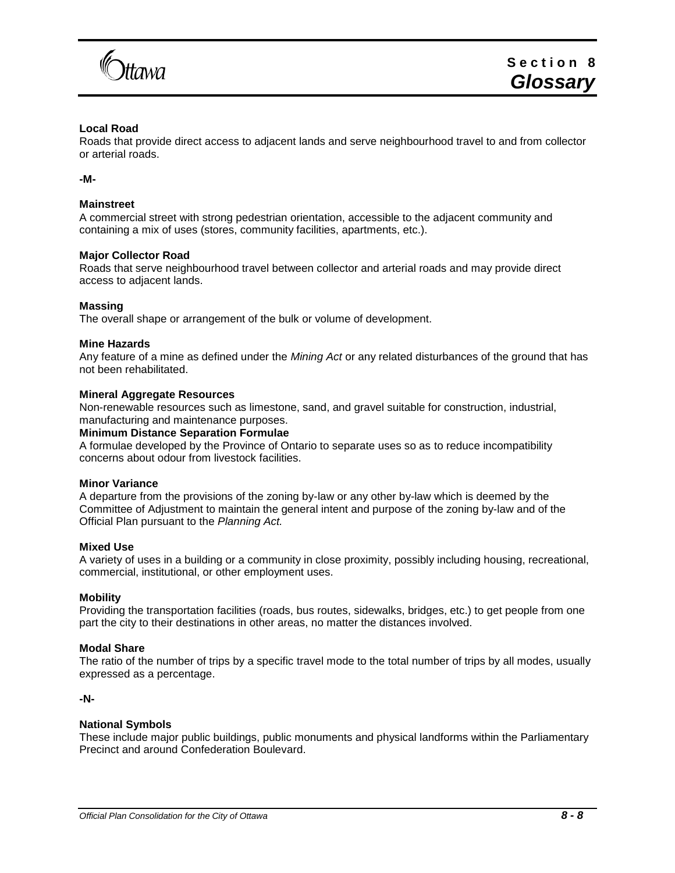

# **Local Road**

Roads that provide direct access to adjacent lands and serve neighbourhood travel to and from collector or arterial roads.

<span id="page-7-0"></span>**-M-**

# **Mainstreet**

A commercial street with strong pedestrian orientation, accessible to the adjacent community and containing a mix of uses (stores, community facilities, apartments, etc.).

# **Major Collector Road**

Roads that serve neighbourhood travel between collector and arterial roads and may provide direct access to adjacent lands.

# **Massing**

The overall shape or arrangement of the bulk or volume of development.

### **Mine Hazards**

Any feature of a mine as defined under the *Mining Act* or any related disturbances of the ground that has not been rehabilitated.

### **Mineral Aggregate Resources**

Non-renewable resources such as limestone, sand, and gravel suitable for construction, industrial, manufacturing and maintenance purposes.

#### **Minimum Distance Separation Formulae**

A formulae developed by the Province of Ontario to separate uses so as to reduce incompatibility concerns about odour from livestock facilities.

#### **Minor Variance**

A departure from the provisions of the zoning by-law or any other by-law which is deemed by the Committee of Adjustment to maintain the general intent and purpose of the zoning by-law and of the Official Plan pursuant to the *Planning Act.*

# **Mixed Use**

A variety of uses in a building or a community in close proximity, possibly including housing, recreational, commercial, institutional, or other employment uses.

#### **Mobility**

Providing the transportation facilities (roads, bus routes, sidewalks, bridges, etc.) to get people from one part the city to their destinations in other areas, no matter the distances involved.

# **Modal Share**

The ratio of the number of trips by a specific travel mode to the total number of trips by all modes, usually expressed as a percentage.

<span id="page-7-1"></span>**-N-**

# **National Symbols**

These include major public buildings, public monuments and physical landforms within the Parliamentary Precinct and around Confederation Boulevard.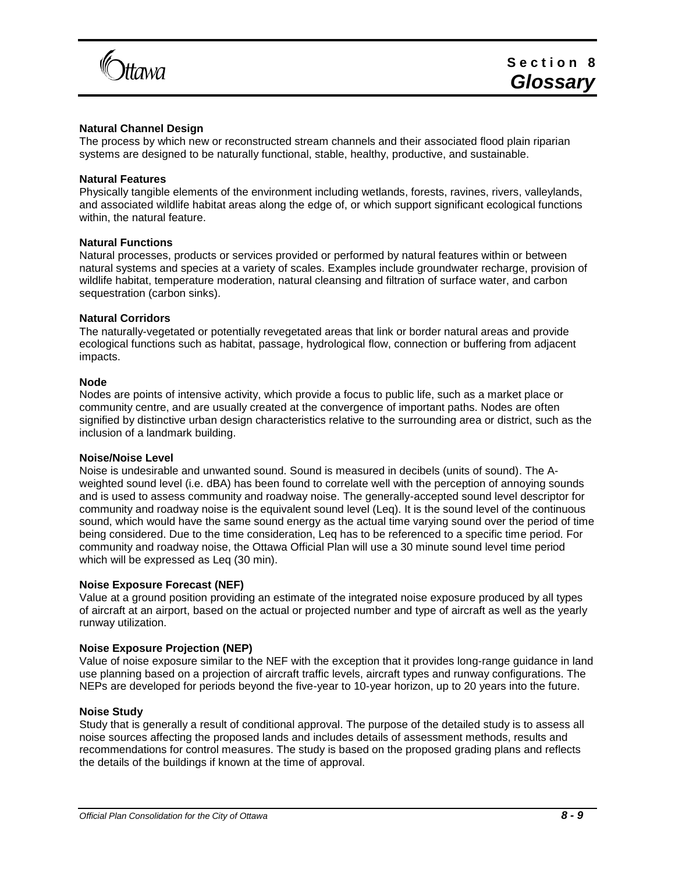

# **Natural Channel Design**

The process by which new or reconstructed stream channels and their associated flood plain riparian systems are designed to be naturally functional, stable, healthy, productive, and sustainable.

## **Natural Features**

Physically tangible elements of the environment including wetlands, forests, ravines, rivers, valleylands, and associated wildlife habitat areas along the edge of, or which support significant ecological functions within, the natural feature.

# **Natural Functions**

Natural processes, products or services provided or performed by natural features within or between natural systems and species at a variety of scales. Examples include groundwater recharge, provision of wildlife habitat, temperature moderation, natural cleansing and filtration of surface water, and carbon sequestration (carbon sinks).

### **Natural Corridors**

The naturally-vegetated or potentially revegetated areas that link or border natural areas and provide ecological functions such as habitat, passage, hydrological flow, connection or buffering from adjacent impacts.

### **Node**

Nodes are points of intensive activity, which provide a focus to public life, such as a market place or community centre, and are usually created at the convergence of important paths. Nodes are often signified by distinctive urban design characteristics relative to the surrounding area or district, such as the inclusion of a landmark building.

#### **Noise/Noise Level**

Noise is undesirable and unwanted sound. Sound is measured in decibels (units of sound). The Aweighted sound level (i.e. dBA) has been found to correlate well with the perception of annoying sounds and is used to assess community and roadway noise. The generally-accepted sound level descriptor for community and roadway noise is the equivalent sound level (Leq). It is the sound level of the continuous sound, which would have the same sound energy as the actual time varying sound over the period of time being considered. Due to the time consideration, Leq has to be referenced to a specific time period. For community and roadway noise, the Ottawa Official Plan will use a 30 minute sound level time period which will be expressed as Leq (30 min).

#### **Noise Exposure Forecast (NEF)**

Value at a ground position providing an estimate of the integrated noise exposure produced by all types of aircraft at an airport, based on the actual or projected number and type of aircraft as well as the yearly runway utilization.

# **Noise Exposure Projection (NEP)**

Value of noise exposure similar to the NEF with the exception that it provides long-range guidance in land use planning based on a projection of aircraft traffic levels, aircraft types and runway configurations. The NEPs are developed for periods beyond the five-year to 10-year horizon, up to 20 years into the future.

#### **Noise Study**

<span id="page-8-0"></span>Study that is generally a result of conditional approval. The purpose of the detailed study is to assess all noise sources affecting the proposed lands and includes details of assessment methods, results and recommendations for control measures. The study is based on the proposed grading plans and reflects the details of the buildings if known at the time of approval.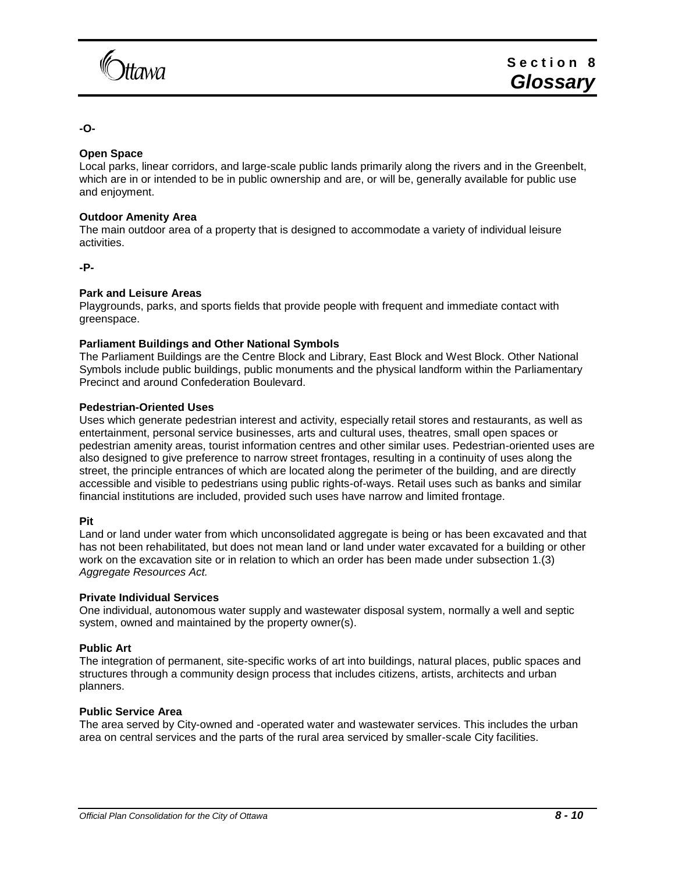

# **-O-**

# **Open Space**

Local parks, linear corridors, and large-scale public lands primarily along the rivers and in the Greenbelt, which are in or intended to be in public ownership and are, or will be, generally available for public use and enjoyment.

# **Outdoor Amenity Area**

The main outdoor area of a property that is designed to accommodate a variety of individual leisure activities.

<span id="page-9-0"></span>**-P-**

# **Park and Leisure Areas**

Playgrounds, parks, and sports fields that provide people with frequent and immediate contact with greenspace.

# **Parliament Buildings and Other National Symbols**

The Parliament Buildings are the Centre Block and Library, East Block and West Block. Other National Symbols include public buildings, public monuments and the physical landform within the Parliamentary Precinct and around Confederation Boulevard.

# **Pedestrian-Oriented Uses**

Uses which generate pedestrian interest and activity, especially retail stores and restaurants, as well as entertainment, personal service businesses, arts and cultural uses, theatres, small open spaces or pedestrian amenity areas, tourist information centres and other similar uses. Pedestrian-oriented uses are also designed to give preference to narrow street frontages, resulting in a continuity of uses along the street, the principle entrances of which are located along the perimeter of the building, and are directly accessible and visible to pedestrians using public rights-of-ways. Retail uses such as banks and similar financial institutions are included, provided such uses have narrow and limited frontage.

# **Pit**

Land or land under water from which unconsolidated aggregate is being or has been excavated and that has not been rehabilitated, but does not mean land or land under water excavated for a building or other work on the excavation site or in relation to which an order has been made under subsection 1.(3) *Aggregate Resources Act.*

# **Private Individual Services**

One individual, autonomous water supply and wastewater disposal system, normally a well and septic system, owned and maintained by the property owner(s).

# **Public Art**

The integration of permanent, site-specific works of art into buildings, natural places, public spaces and structures through a community design process that includes citizens, artists, architects and urban planners.

# **Public Service Area**

The area served by City-owned and -operated water and wastewater services. This includes the urban area on central services and the parts of the rural area serviced by smaller-scale City facilities.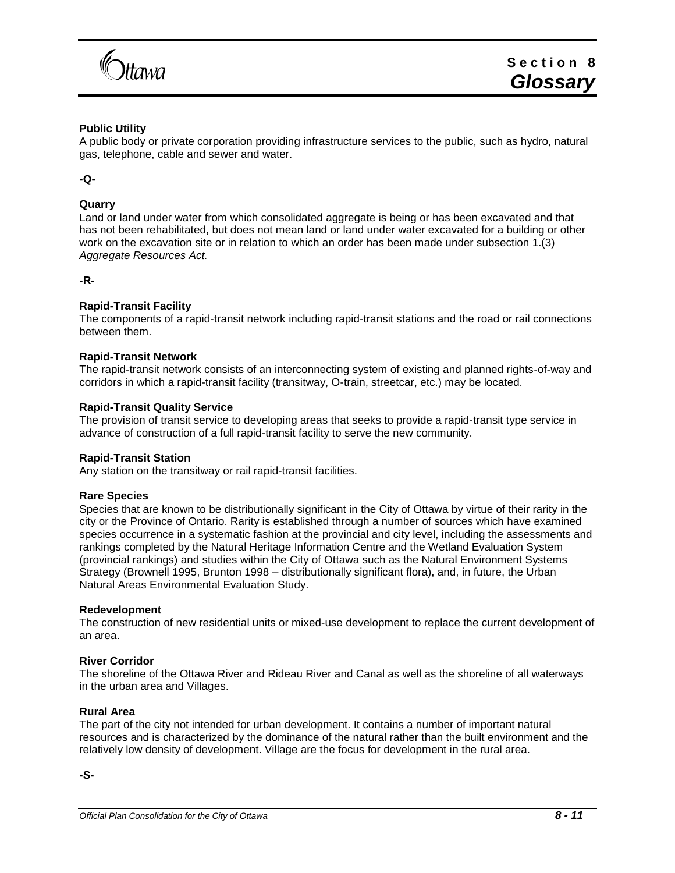

# **Public Utility**

A public body or private corporation providing infrastructure services to the public, such as hydro, natural gas, telephone, cable and sewer and water.

# <span id="page-10-0"></span>**-Q-**

# **Quarry**

Land or land under water from which consolidated aggregate is being or has been excavated and that has not been rehabilitated, but does not mean land or land under water excavated for a building or other work on the excavation site or in relation to which an order has been made under subsection 1.(3) *Aggregate Resources Act.*

# <span id="page-10-1"></span>**-R-**

# **Rapid-Transit Facility**

The components of a rapid-transit network including rapid-transit stations and the road or rail connections between them.

### **Rapid-Transit Network**

The rapid-transit network consists of an interconnecting system of existing and planned rights-of-way and corridors in which a rapid-transit facility (transitway, O-train, streetcar, etc.) may be located.

### **Rapid-Transit Quality Service**

The provision of transit service to developing areas that seeks to provide a rapid-transit type service in advance of construction of a full rapid-transit facility to serve the new community.

# **Rapid-Transit Station**

Any station on the transitway or rail rapid-transit facilities.

#### **Rare Species**

Species that are known to be distributionally significant in the City of Ottawa by virtue of their rarity in the city or the Province of Ontario. Rarity is established through a number of sources which have examined species occurrence in a systematic fashion at the provincial and city level, including the assessments and rankings completed by the Natural Heritage Information Centre and the Wetland Evaluation System (provincial rankings) and studies within the City of Ottawa such as the Natural Environment Systems Strategy (Brownell 1995, Brunton 1998 – distributionally significant flora), and, in future, the Urban Natural Areas Environmental Evaluation Study.

#### **Redevelopment**

The construction of new residential units or mixed-use development to replace the current development of an area.

# **River Corridor**

The shoreline of the Ottawa River and Rideau River and Canal as well as the shoreline of all waterways in the urban area and Villages.

# **Rural Area**

The part of the city not intended for urban development. It contains a number of important natural resources and is characterized by the dominance of the natural rather than the built environment and the relatively low density of development. Village are the focus for development in the rural area.

<span id="page-10-2"></span>**-S-**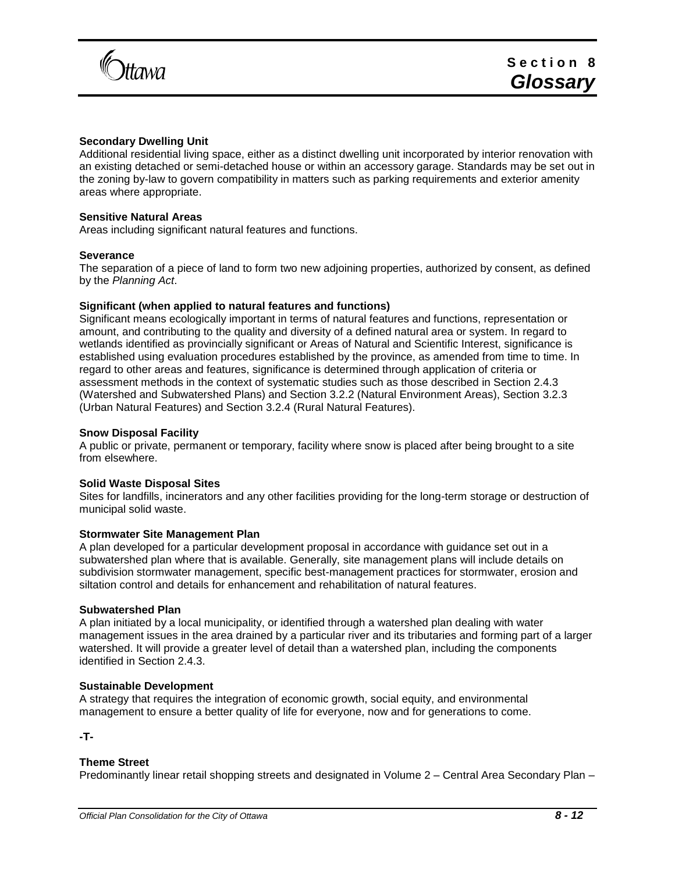

## **Secondary Dwelling Unit**

Additional residential living space, either as a distinct dwelling unit incorporated by interior renovation with an existing detached or semi-detached house or within an accessory garage. Standards may be set out in the zoning by-law to govern compatibility in matters such as parking requirements and exterior amenity areas where appropriate.

## **Sensitive Natural Areas**

Areas including significant natural features and functions.

### **Severance**

The separation of a piece of land to form two new adjoining properties, authorized by consent, as defined by the *Planning Act*.

### **Significant (when applied to natural features and functions)**

Significant means ecologically important in terms of natural features and functions, representation or amount, and contributing to the quality and diversity of a defined natural area or system. In regard to wetlands identified as provincially significant or Areas of Natural and Scientific Interest, significance is established using evaluation procedures established by the province, as amended from time to time. In regard to other areas and features, significance is determined through application of criteria or assessment methods in the context of systematic studies such as those described in Section 2.4.3 (Watershed and Subwatershed Plans) and Section 3.2.2 (Natural Environment Areas), Section 3.2.3 (Urban Natural Features) and Section 3.2.4 (Rural Natural Features).

### **Snow Disposal Facility**

A public or private, permanent or temporary, facility where snow is placed after being brought to a site from elsewhere.

# **Solid Waste Disposal Sites**

Sites for landfills, incinerators and any other facilities providing for the long-term storage or destruction of municipal solid waste.

#### **Stormwater Site Management Plan**

A plan developed for a particular development proposal in accordance with guidance set out in a subwatershed plan where that is available. Generally, site management plans will include details on subdivision stormwater management, specific best-management practices for stormwater, erosion and siltation control and details for enhancement and rehabilitation of natural features.

#### **Subwatershed Plan**

A plan initiated by a local municipality, or identified through a watershed plan dealing with water management issues in the area drained by a particular river and its tributaries and forming part of a larger watershed. It will provide a greater level of detail than a watershed plan, including the components identified in Section 2.4.3.

#### **Sustainable Development**

A strategy that requires the integration of economic growth, social equity, and environmental management to ensure a better quality of life for everyone, now and for generations to come.

<span id="page-11-0"></span>**-T-**

#### **Theme Street**

Predominantly linear retail shopping streets and designated in Volume 2 – Central Area Secondary Plan –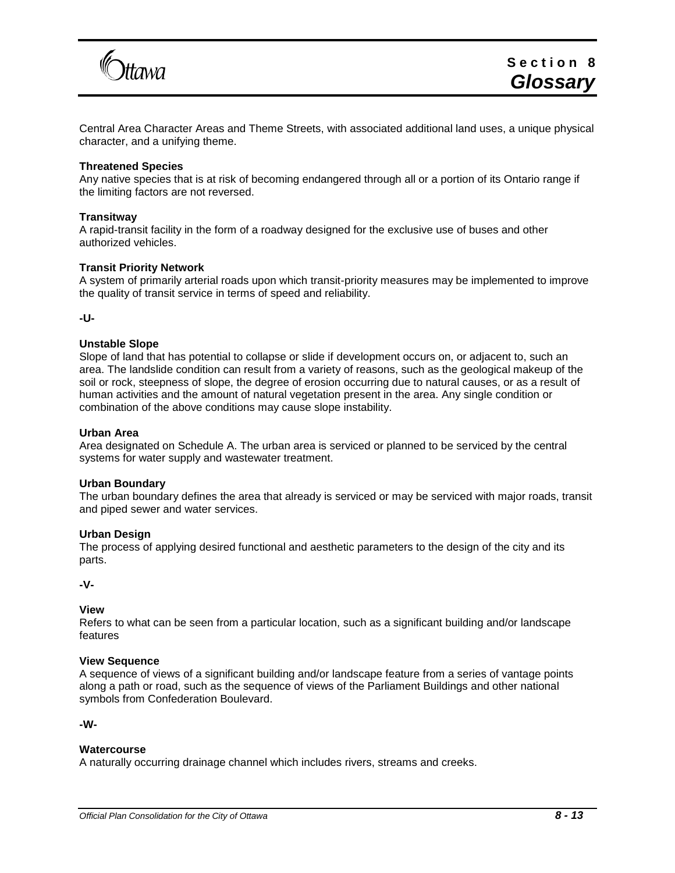

Central Area Character Areas and Theme Streets, with associated additional land uses, a unique physical character, and a unifying theme.

## **Threatened Species**

Any native species that is at risk of becoming endangered through all or a portion of its Ontario range if the limiting factors are not reversed.

### **Transitway**

A rapid-transit facility in the form of a roadway designed for the exclusive use of buses and other authorized vehicles.

### **Transit Priority Network**

A system of primarily arterial roads upon which transit-priority measures may be implemented to improve the quality of transit service in terms of speed and reliability.

<span id="page-12-0"></span>**-U-**

# **Unstable Slope**

Slope of land that has potential to collapse or slide if development occurs on, or adjacent to, such an area. The landslide condition can result from a variety of reasons, such as the geological makeup of the soil or rock, steepness of slope, the degree of erosion occurring due to natural causes, or as a result of human activities and the amount of natural vegetation present in the area. Any single condition or combination of the above conditions may cause slope instability.

### **Urban Area**

Area designated on Schedule A. The urban area is serviced or planned to be serviced by the central systems for water supply and wastewater treatment.

#### **Urban Boundary**

The urban boundary defines the area that already is serviced or may be serviced with major roads, transit and piped sewer and water services.

# **Urban Design**

The process of applying desired functional and aesthetic parameters to the design of the city and its parts.

<span id="page-12-1"></span>**-V-**

# **View**

Refers to what can be seen from a particular location, such as a significant building and/or landscape features

### **View Sequence**

A sequence of views of a significant building and/or landscape feature from a series of vantage points along a path or road, such as the sequence of views of the Parliament Buildings and other national symbols from Confederation Boulevard.

<span id="page-12-2"></span>**-W-**

#### **Watercourse**

A naturally occurring drainage channel which includes rivers, streams and creeks.